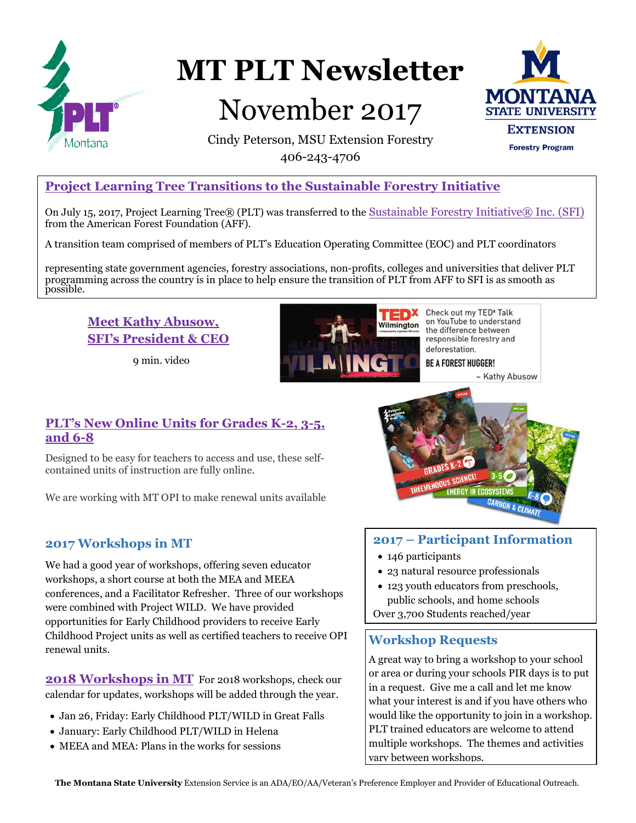

# **MT PLT Newsletter**

## November 2017



Cindy Peterson, MSU Extension Forestry 406-243-4706

## **[Project Learning Tree Transitions to the Sustainable Forestry Initiative](https://www.plt.org/?s=transition)**

On July 15, 2017, Project Learning Tree® (PLT) was transferred to the [Sustainable Forestry Initiative® Inc. \(SFI\)](http://www.sfiprogram.org/) from the American Forest Foundation (AFF).

A transition team comprised of members of PLT's Education Operating Committee (EOC) and PLT coordinators

representing state government agencies, forestry associations, non-profits, colleges and universities that deliver PLT programming across the country is in place to help ensure the transition of PLT from AFF to SFI is as smooth as possible.

## **Meet Kathy Abusow, [SFI's President & CEO](https://www.youtube.com/watch?v=Ia1ZZol0CeM&feature=youtu.be)**

9 min. video



Check out my TED<sup>x</sup> Talk on YouTube to understand the difference between responsible forestry and deforestation.

**BE A FOREST HUGGER!** 

~ Kathy Abusow

### **[PLT's New Online Units for Grades K-2, 3-5,](https://www.plt.org/online-environmental-education-units)  [and 6-8](https://www.plt.org/news/new-online-units-grades-k-8/)**

Designed to be easy for teachers to access and use, these selfcontained units of instruction are fully online.

We are working with MT OPI to make renewal units available

## **2017 Workshops in MT**

We had a good year of workshops, offering seven educator workshops, a short course at both the MEA and MEEA conferences, and a Facilitator Refresher. Three of our workshops were combined with Project WILD. We have provided opportunities for Early Childhood providers to receive Early [Childhood Project units as well as certified teachers to receive OPI](http://www.msuextension.org/forestry/calendar.htm)  renewal units.

**[2018 Workshops in MT](http://www.msuextension.org/forestry/calendar.htm)** For 2018 workshops, check our calendar for updates, workshops will be added through the year.

- Jan 26, Friday: Early Childhood PLT/WILD in Great Falls
- January: Early Childhood PLT/WILD in Helena
- MEEA and MEA: Plans in the works for sessions



## **2017 – Participant Information**

- 146 participants
- 23 natural resource professionals
- 123 youth educators from preschools, public schools, and home schools

Over 3,700 Students reached/year

## **Workshop Requests**

A great way to bring a workshop to your school or area or during your schools PIR days is to put in a request. Give me a call and let me know what your interest is and if you have others who would like the opportunity to join in a workshop. PLT trained educators are welcome to attend multiple workshops. The themes and activities vary between workshops.